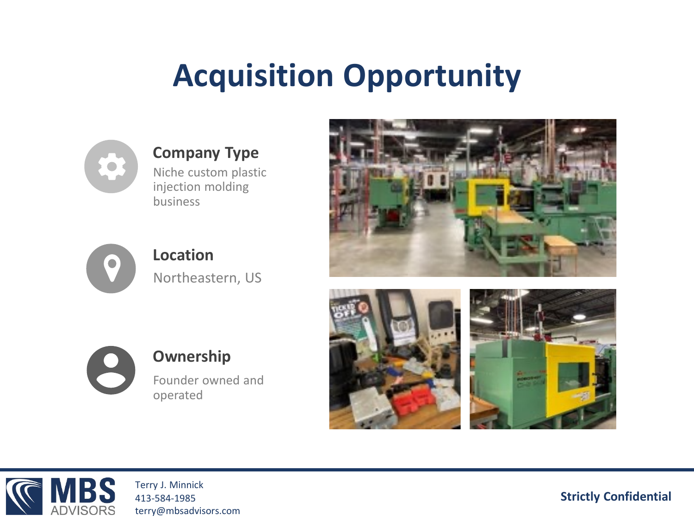# **Acquisition Opportunity**



## **Company Type**

Niche custom plastic injection molding business



**Location** Northeastern, US





### **Ownership**

Founder owned and operated







Terry J. Minnick 413-584-1985 terry@mbsadvisors.com

**Strictly Confidential**